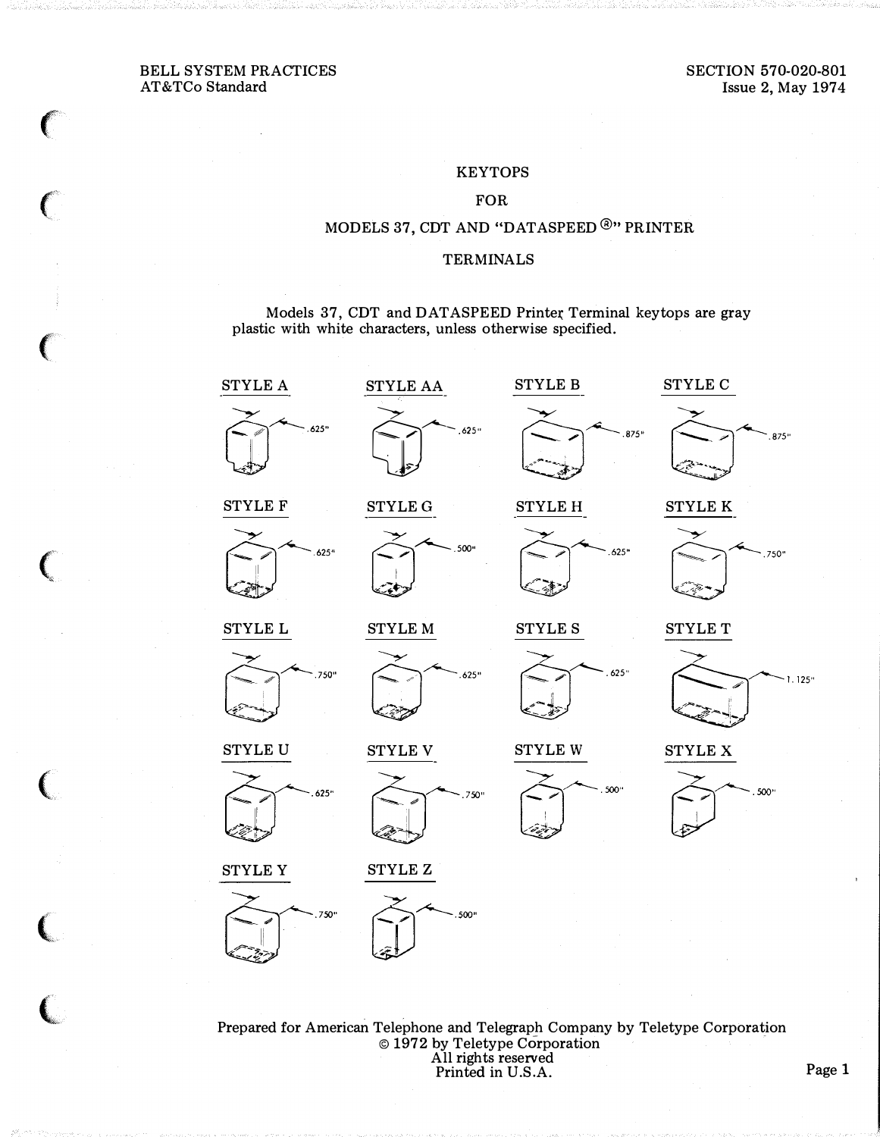$\left($ 

 $\big($ 

 $\left($ 

 $\mathbf \zeta$ 

 $\ell$ 

 $\overline{\mathbf{C}}$ 

(,

#### **KEYTOPS**

#### FOR

### MODELS 37, CDT AND "DATASPEED®" PRINTER

#### TERMINALS

Models 37, CDT and DATASPEED Printer Terminal keytops are gray plastic with white characters, unless otherwise specified.



Prepared for American Telephone and Telegraph Company by Teletype Corporation © 1972 by Teletype Corporation · All rights reserved Printed in U.S.A. Page 1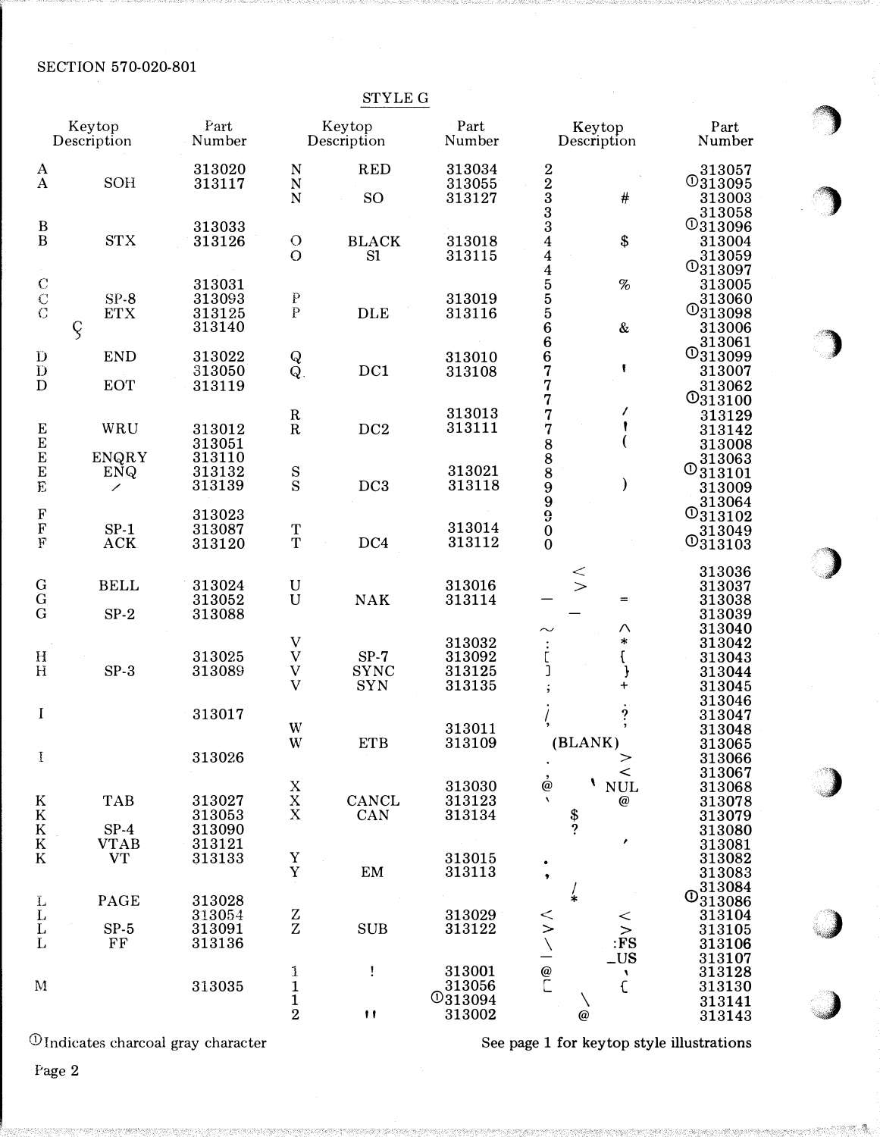**SECTION 570-020-801** 

|                                                         |                                     |                                      |                                                                                         | STYLE G                       |                                              |                                                                                                      |                                                                                  |
|---------------------------------------------------------|-------------------------------------|--------------------------------------|-----------------------------------------------------------------------------------------|-------------------------------|----------------------------------------------|------------------------------------------------------------------------------------------------------|----------------------------------------------------------------------------------|
|                                                         | Keytop<br>Description               | Part<br>Number                       |                                                                                         | Keytop<br>Description         | Part<br>Number                               | Keytop<br>Description                                                                                | Part<br>Number                                                                   |
| A<br>$\mathbf{A}$                                       | SOH                                 | 313020<br>313117                     | N<br>$\mathbf N$<br>$\overline{N}$                                                      | <b>RED</b><br>SO <sub>1</sub> | 313034<br>313055<br>313127                   | $\begin{smallmatrix} 2\ 2\ 3\ 3\ 3 \end{smallmatrix}$<br>#                                           | 313057<br><b>O313095</b><br>313003                                               |
| $\begin{array}{c} \mathbf{B} \\ \mathbf{B} \end{array}$ | <b>STX</b>                          | 313033<br>313126                     | $\circ$<br>$\overline{O}$                                                               | <b>BLACK</b><br>S1            | 313018<br>313115                             | \$                                                                                                   | 313058<br><b>O313096</b><br>313004<br>313059                                     |
| $\begin{matrix} 0 \\ 0 \\ 0 \end{matrix}$               | $SP-8$<br><b>ETX</b><br>$\varsigma$ | 313031<br>313093<br>313125<br>313140 | ${\rm P}$<br>$\bar{\rm P}$                                                              | <b>DLE</b>                    | 313019<br>313116                             | 44455566667<br>$\%$<br>&                                                                             | $\overline{{}^{0}313097}$<br>313005<br>313060<br>$\mathbb{O}_{313098}$<br>313006 |
| $\bf{D}$<br>$\overline{\text{D}}$<br>D                  | <b>END</b><br><b>EOT</b>            | 313022<br>313050<br>313119           | $\frac{\text{Q}}{\text{Q}}$                                                             | DC1                           | 313010<br>313108                             | f<br>7<br>7                                                                                          | 313061<br><b>O313099</b><br>313007<br>313062                                     |
|                                                         | WRU                                 | 313012<br>313051                     | $\mathbf R$<br>$\overline{\mathbf{R}}$                                                  | DC <sub>2</sub>               | 313013<br>313111                             | 7                                                                                                    | <b>O313100</b><br>313129<br>313142<br>313008                                     |
| 巴巴巴尼                                                    | <b>ENQRY</b><br>ENQ<br>╱            | 313110<br>313132<br>313139           | $_{\rm S}^{\rm S}$                                                                      | DC3                           | 313021<br>313118                             | 77889990<br>⟩                                                                                        | 313063<br>$\overline{0}_{313101}$<br>313009<br>313064                            |
| $\frac{F}{F}$                                           | $SP-1$<br><b>ACK</b>                | 313023<br>313087<br>313120           | $\frac{T}{T}$                                                                           | DC4                           | 313014<br>313112                             | $\mathbf{0}$                                                                                         | $\mathbb{O}_{313102}$<br>313049<br>$\overline{0}_{313103}$                       |
| $\begin{array}{c} G \\ G \end{array}$                   | <b>BELL</b><br>$SP-2$               | 313024<br>313052<br>313088           | $\mathbf U$<br>$\mathbf U$                                                              | <b>NAK</b>                    | 313016<br>313114                             | $\lt$<br>$\geq$<br>$=$                                                                               | 313036<br>313037<br>313038<br>313039                                             |
| $\mathbf H$<br>H                                        | $SP-3$                              | 313025<br>313089                     | $\mathbf V$<br>$\ensuremath{\mathbf{V}}$<br>$\ensuremath{\mathbf{V}}$<br>$\overline{V}$ | $SP-7$<br>SYNC<br><b>SYN</b>  | 313032<br>313092<br>313125<br>313135         | Λ<br>*<br>$\mathbf f$<br>J<br>+                                                                      | 313040<br>313042<br>313043<br>313044<br>313045<br>313046                         |
| $\bf{I}$<br>I                                           |                                     | 313017<br>313026                     | W<br>W                                                                                  | <b>ETB</b>                    | 313011<br>313109                             | $\overset{?}{\cdot}$<br>э,<br>(BLANK)<br>>                                                           | 313047<br>313048<br>313065<br>313066<br>313067                                   |
| K K<br>K<br>K                                           | <b>TAB</b><br>$SP-4$                | 313027<br>313053<br>313090           | $\begin{array}{c}\nX\\X\\X\n\end{array}$                                                | CANCL<br>CAN                  | 313030<br>313123<br>313134                   | ≺<br>ò<br>V<br>$\mathbf{NULL}$<br>$\boldsymbol{\chi}$<br>$\boldsymbol{\varpi}$<br>$\frac{3}{2}$<br>, | 313068<br>313078<br>313079<br>313080                                             |
| $\overline{\mathrm{K}}$                                 | <b>VTAB</b><br><b>VT</b>            | 313121<br>313133                     | Y<br>$\mathbf Y$                                                                        | EM                            | 313015<br>313113                             | ,                                                                                                    | 313081<br>313082<br>313083<br>313084                                             |
| $\rm _L^L$<br>$\mathbf{L}$<br>L                         | PAGE<br>$SP-5$<br>FF                | 313028<br>313054<br>313091<br>313136 | $\frac{Z}{Z}$                                                                           | <b>SUB</b>                    | 313029<br>313122                             | $\ddot{\ast}$<br>$\leq$<br>$\geq$<br>$\geq$<br>$\geq$ FS<br>LUS                                      | $\overline{0}_{313086}$<br>313104<br>313105<br>313106<br>313107                  |
| M                                                       |                                     | 313035                               | $\frac{1}{1}$<br>$\overline{2}$                                                         | Ţ<br>$^{\dagger}$             | 313001<br>313056<br><b>O313094</b><br>313002 | $\pmb{\mathcal{N}}$<br>$\epsilon$<br>$^\text{\textregistered}$                                       | 313128<br>313130<br>313141<br>313143                                             |

 $\overline{\mathbb{O}}$  Indicates charcoal gray character

See page 1 for keytop style illustrations

Page 2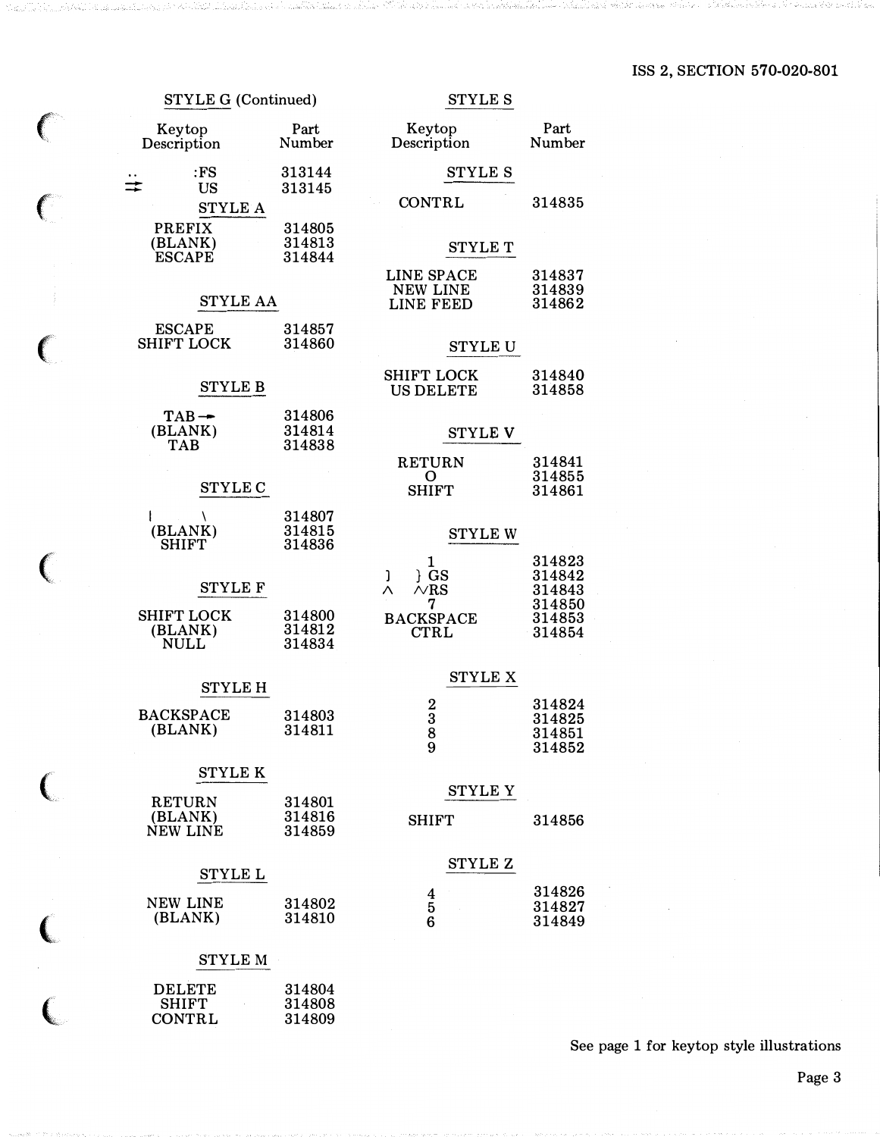## ISS 2, SECTION 570-020-801

| <b>STYLE G (Continued)</b>                     |                            | <b>STYLE S</b>                                                                  |                                      |  |  |
|------------------------------------------------|----------------------------|---------------------------------------------------------------------------------|--------------------------------------|--|--|
| Keytop<br>Description                          | Part<br>Number             | Keytop<br>Description                                                           | Part<br>Number                       |  |  |
| :FS<br><b>US</b>                               | 313144<br>313145           | <b>STYLE S</b>                                                                  |                                      |  |  |
| <b>STYLE A</b>                                 |                            | <b>CONTRL</b>                                                                   | 314835                               |  |  |
| <b>PREFIX</b><br>(BLANK)<br><b>ESCAPE</b>      | 314805<br>314813<br>314844 | <b>STYLE T</b>                                                                  |                                      |  |  |
| <b>STYLE AA</b>                                |                            | <b>LINE SPACE</b><br>314837<br><b>NEW LINE</b><br>314839<br>LINE FEED<br>314862 |                                      |  |  |
| <b>ESCAPE</b><br><b>SHIFT LOCK</b>             | 314857<br>314860           | <b>STYLE U</b>                                                                  |                                      |  |  |
| <b>STYLE B</b>                                 |                            | <b>SHIFT LOCK</b><br><b>US DELETE</b>                                           | 314840<br>314858                     |  |  |
| $TAB -$<br>(BLANK)<br><b>TAB</b>               | 314806<br>314814<br>314838 | <b>STYLE V</b>                                                                  |                                      |  |  |
|                                                |                            | <b>RETURN</b><br>O                                                              | 314841<br>314855                     |  |  |
| <b>STYLE C</b>                                 |                            | <b>SHIFT</b>                                                                    | 314861                               |  |  |
| $\lambda$<br>I<br>(BLANK)<br><b>SHIFT</b>      | 314807<br>314815<br>314836 | <b>STYLE W</b>                                                                  |                                      |  |  |
| <b>STYLE F</b>                                 |                            | 1<br>$\}$ GS<br>J<br>$\overline{N}$ RS<br>Λ<br>7                                | 314823<br>314842<br>314843<br>314850 |  |  |
| <b>SHIFT LOCK</b><br>(BLANK)<br><b>NULL</b>    | 314800<br>314812<br>314834 | <b>BACKSPACE</b><br><b>CTRL</b>                                                 | 314853<br>314854                     |  |  |
|                                                |                            | <b>STYLE X</b>                                                                  |                                      |  |  |
| <b>STYLE H</b>                                 |                            | $\frac{2}{3}$                                                                   | 314824                               |  |  |
| <b>BACKSPACE</b><br>(BLANK)                    | 314803<br>314811           | 8<br>9                                                                          | 314825<br>314851<br>314852           |  |  |
| <b>STYLE K</b>                                 |                            |                                                                                 |                                      |  |  |
| <b>RETURN</b><br>(BLANK)<br>NEW LINE           | 314801<br>314816<br>314859 | <b>STYLE Y</b><br><b>SHIFT</b>                                                  | 314856                               |  |  |
| STYLE L                                        |                            | STYLE Z                                                                         |                                      |  |  |
| <b>NEW LINE</b><br>(BLANK)                     | 314802<br>314810           | $\frac{4}{5}$                                                                   | 314826<br>314827<br>314849           |  |  |
| <b>STYLE M</b>                                 |                            |                                                                                 |                                      |  |  |
| <b>DELETE</b><br><b>SHIFT</b><br><b>CONTRL</b> | 314804<br>314808<br>314809 |                                                                                 |                                      |  |  |

 $\begin{array}{c} \curvearrowleft \uparrow \ \curvearrowleft \end{array}$ 

 $\overline{(\ }$ 

 $\begin{array}{c} \textsf{c} \\ \textsf{c} \end{array}$ 

See page 1 for keytop style illustrations